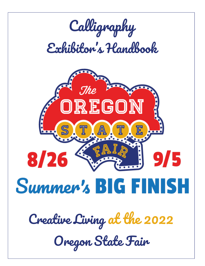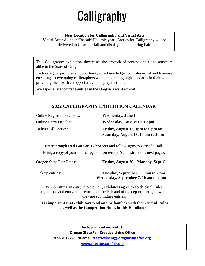# **Calligraphy**

#### **New Location for Calligraphy and Visual Arts**

Visual Arts will be in Cascade Hall this year. Entries for Calligraphy will be delivered to Cascade Hall and displayed there during Fair.

This Calligraphy exhibition showcases the artwork of professionals and amateurs alike in the State of Oregon.

Each category provides an opportunity to acknowledge the professional and likewise encourages developing calligraphers who are pursuing high standards in their work, providing them with an opportunity to display their art.

We especially encourage entries in the Oregon Award exhibit.



**It is important that exhibitors read and be familiar with the General Rules as well as the Competition Rules in this Handbook.** 

> **For help or questions contact: Oregon State Fair Creative Living Office 971-701-6571 or email [creativeliving@oregonstatefair.org](mailto:creativeliving@oregonstatefair.org) [www.oregonstatefair.org](http://www.oregonstatefair.org/)**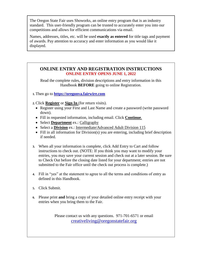The Oregon State Fair uses Showorks, an online entry program that is an industry standard. This user-friendly program can be trusted to accurately enter you into our competitions and allows for efficient communications via email.

Names, addresses, titles, etc. will be used **exactly as entered** for title tags and payment of awards. Pay attention to accuracy and enter information as you would like it displayed.

#### **ONLINE ENTRY AND REGISTRATION INSTRUCTIONS ONLINE ENTRY OPENS JUNE 1, 2022**

Read the complete rules, division descriptions and entry information in this Handbook **BEFORE** going to online Registration.

**1.** Then go to **[https://oregonva.fairwire.com](https://oregonva.fairwire.com/)**

- **2.** Click **Register** or **Sign In** (for return visits).
	- Register using your First and Last Name and create a password (write password down).
	- Fill in requested information, including email. Click **Continue**.
	- Select **Department** ex.: Calligraphy
	- Select a **Division** ex.: Intermediate/Advanced Adult Division 115
	- Fill in all information for Division(s) you are entering, including brief description if needed.
- **3.** When all your information is complete, click Add Entry to Cart and follow instructions to check out. (NOTE: If you think you may want to modify your entries, you may save your current session and check out at a later session. Be sure to Check Out before the closing date listed for your department; entries are not submitted to the Fair office until the check out process is complete.)
- **4.** Fill in "yes" at the statement to agree to all the terms and conditions of entry as defined in this Handbook.
- **5.** Click Submit.
- **6.** Please print **and** bring a copy of your detailed online entry receipt with your entries when you bring them to the Fair.

Please contact us with any questions. 971-701-6571 or email [creativeliving@oregonstatefair.org](mailto:creativeliving@oregonstatefair.org)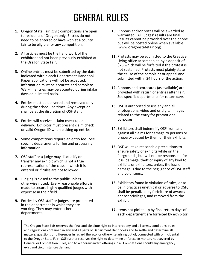## GENERAL RULES

- **1.** Oregon State Fair (OSF) competitions are open to residents of Oregon only. Entries do not need to be entered or have won at a county fair to be eligible for any competition.
- **2.** All articles must be the handiwork of the exhibitor and not been previously exhibited at the Oregon State Fair.
- **3.** Online entries must be submitted by the date indicated within each Department Handbook. Paper applications will not be accepted. Information must be accurate and complete. Walk-in entries may be accepted during intake days on a limited basis.
- **4.** Entries must be delivered and removed only during the scheduled times. Any exception shall be at the discretion of OSF staff.
- **5.** Entries will receive a claim check upon delivery. Exhibitor must present claim check or valid Oregon ID when picking up entries.
- **6.** Some competitions require an entry fee. See specific departments for fee and processing information.
- **7.** OSF staff or a judge may disqualify or transfer any exhibit which is not a true representation of the class in which it is entered or if rules are not followed.
- **8.** Judging is closed to the public unless otherwise noted. Every reasonable effort is made to secure highly qualified judges with expertise in their field.
- **9.** Entries by OSF staff or judges are prohibited in the department in which they are working. They may enter other departments.
- **10.** Ribbons and/or prizes will be awarded as warranted. All judges' results are final. Results cannot be provided over the phone but will be posted online when available. (www.oregonstatefair.org)
- **11.** Protests may be submitted to the Creative Living office accompanied by a deposit of \$25 which will be forfeited if the protest is not sustained. Protests must plainly state the cause of the complaint or appeal and submitted within 24 hours of the action.
- **12.** Ribbons and scorecards (as available) are provided with return of entries after Fair. See specific departments for return days.
- **13.** OSF is authorized to use any and all photographs, video and or digital images related to the entry for promotional purposes.
- **14.** Exhibitors shall indemnify OSF from and against all claims for damage to persons or property caused by them or their exhibits.
- **15.** OSF will take reasonable precautions to ensure safety of exhibits while on the fairgrounds, but will not be responsible for loss, damage, theft or injury of any kind to exhibits or exhibitors, unless the loss or damage is due to the negligence of OSF staff and volunteers.
- **16.** Exhibitors found in violation of rules, or to be in practices unethical or adverse to OSF, shall be penalized by forfeiture of awards and/or privileges, and removed from the exhibit.
- **17.** Items not picked up by final return days of each department are forfeited by exhibitor.

The Oregon State Fair reserves the final and absolute right to interpret any and all terms, conditions, rules and regulations contained in any and all parts of Department Handbooks and to settle and determine all matters, questions or differences in regard thereto, or otherwise arising out of, connected with or incidental to the Oregon State Fair. OSF further reserves the right to determine unforeseen matters not covered by General or Competition Rules, and to withdraw award offerings in all Competitions should any emergency exist and circumstances demand.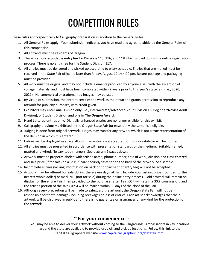## COMPETITION RULES

These rules apply specifically to Calligraphy preparation in addition to the General Rules:

- 1. All General Rules apply. Your submission indicates you have read and agree to abide by the General Rules of this competition.
- 2. All entrants must be residents of Oregon.
- 3. There is **a non-refundable entry fee** for Divisions 115, 116, and 118 which is paid during the online registration process. There is no entry fee for the Student Division 117.
- 4. All entries must be delivered and picked up according to entry schedule. Entries that are mailed must be received in the State Fair office no later than Friday, August 12 by 4:00 pm. Return postage and packaging must be provided.
- 5. All work must be original and may not include elements produced by anyone else, with the exception of collage materials, and must have been completed within 2 years prior to this year's state fair. (i.e., 2020, 2021). No commercial or trademarked images may be used.
- 6. By virtue of submission, the entrant certifies the work as their own and grants permission to reproduce any artwork for publicity purposes, with credit given.
- 7. Exhibitors may enter **one** Division only (i.e., Intermediate/Advanced Adult Division OR Beginner/Novice Adult Division), or Student Division **and one in The Oregon Award.**
- 8. Hand Lettered entries only. Digitially enhanced entries are no longer eligible for this exhibit.
- 9. Calligraphy previously exhibited in the Oregon State Fair (or essentially the same) is ineligible.
- 10. Judging is done from original artwork. Judges may transfer any artwork which is not a true representation of the division in which it is entered.
- 11. Entries will be displayed as space allows. If an entry is not accepted for display exhibitor will be notified.
- 12. All entries must be presented in accordance with presentation standards of the medium: Suitably framed, matted and wired. No saw tooth hangers. See diagram 2 pages down.
- 13. Artwork must be properly labeled with artist's name, phone number, title of work, division and class entered, and sale price (if for sale) on a 3" x 5" card securely fastened to the back of the artwork. See sample.
- 14. Incomplete entries (lacking information on back or nonpayment of entry fee) will not be accepted.
- 15. Artwork may be offered for sale during the eleven days of Fair. Include your asking price (rounded to the nearest whole dollar) or mark NFS (not for sale) during the online entry process. Sold artwork will remain on display for the entire Fair, then provided to the purchaser after Fair. OSF will retain a 30% commission, and the artist's portion of the sale (70%) will be mailed within 30 days of the close of the Fair.
- 16. Although every precaution will be made to safeguard the artwork, the Oregon State Fair will not be responsible for theft, damage (including breakage) or loss of entries. Each artist acknowledges that their artwork will be displayed in public and there is no guarantee or assurances of any kind for the protection of the artwork.

### **~ For your convenience ~**

You may be able to deliver your artwork without coming to the Fairgrounds. Ambassadors in key locations around the state are available to provide drop off and pick up locations. Follow this link to the Capital Calligraphers website [www.capitalcalligraphers.org/statefair.html.](http://www.capitalcalligraphers.org/statefair.html)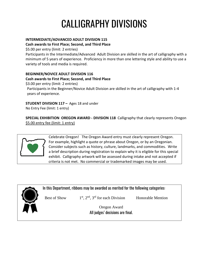## CALLIGRAPHY DIVISIONS

#### **INTERMEDIATE/ADVANCED ADULT DIVISION 115**

#### **Cash awards to First Place; Second, and Third Place**

\$5.00 per entry (limit: 2 entries)

Participants in the Intermediate/Advanced Adult Division are skilled in the art of calligraphy with a minimum of 5 years of experience. Proficiency in more than one lettering style and ability to use a variety of tools and media is required.

#### **BEGINNER/NOVICE ADULT DIVISION 116**

#### **Cash awards to First Place; Second, and Third Place**

\$3.00 per entry (limit: 2 entries)

Participants in the Beginner/Novice Adult Division are skilled in the art of calligraphy with 1-4 years of experience.

#### **STUDENT DIVISION 117 –** Ages 18 and under

No Entry Fee (limit: 1 entry)

**SPECIAL EXHIBITION OREGON AWARD - DIVISION 118** Calligraphy that clearly represents Oregon \$5.00 entry fee (limit: 1 entry)



Celebrate Oregon! The Oregon Award entry must clearly represent Oregon. For example, highlight a quote or phrase about Oregon, or by an Oregonian. Consider subjects such as history, culture, landmarks, and commodities. Write a brief description during registration to explain why it is eligible for this special exhibit. Calligraphy artwork will be assessed during intake and not accepted if criteria is not met. No commercial or trademarked images may be used.



In this Department, ribbons may be awarded as merited for the following categories:

Best of Show  $1^{st}$ ,  $2^{nd}$ ,  $3^{rd}$  for each Division Honorable Mention

Oregon Award All judges' decisions are final.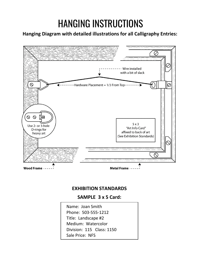## HANGING INSTRUCTIONS

### **Hanging Diagram with detailed illustrations for all Calligraphy Entries:**



#### **EXHIBITION STANDARDS**

### **SAMPLE 3 x 5 Card:**

 Name: Joan Smith Phone: 503-555-1212 Title: Landscape #2 Medium: Watercolor Division: 115 Class: 1150 Sale Price: NFS